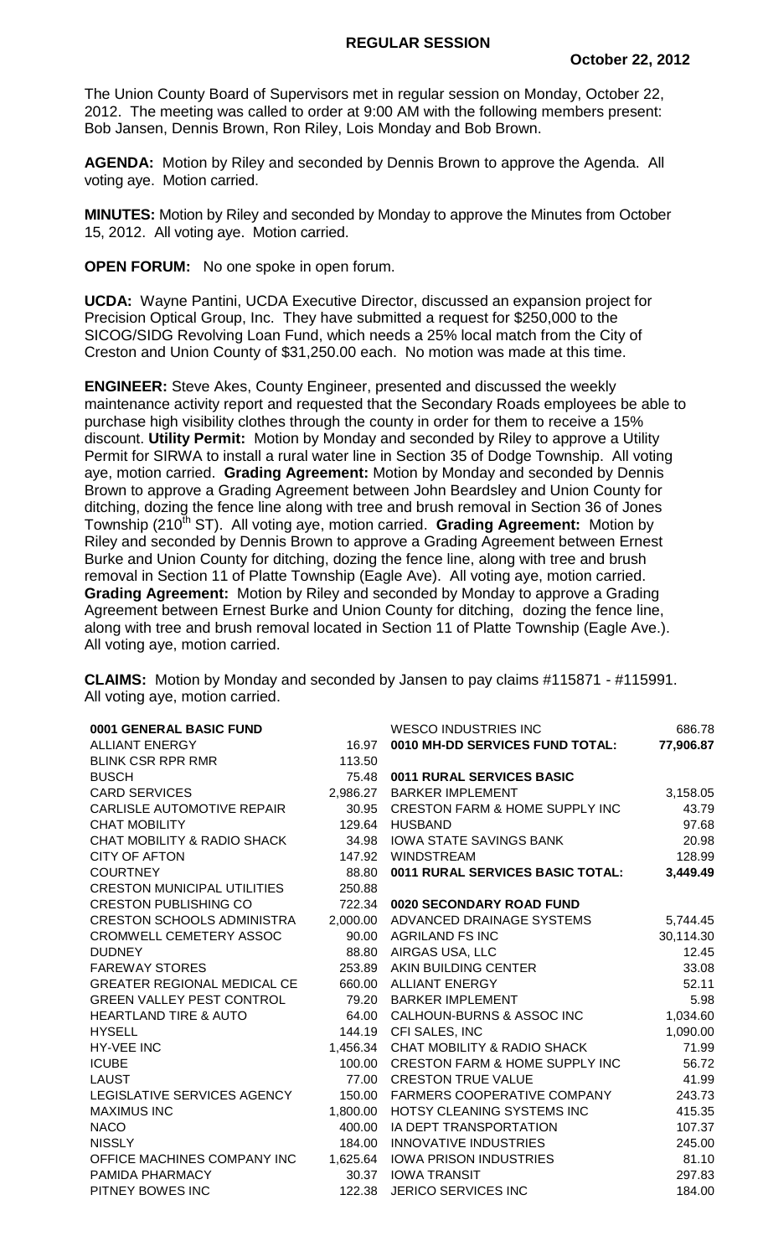The Union County Board of Supervisors met in regular session on Monday, October 22, 2012. The meeting was called to order at 9:00 AM with the following members present: Bob Jansen, Dennis Brown, Ron Riley, Lois Monday and Bob Brown.

**AGENDA:** Motion by Riley and seconded by Dennis Brown to approve the Agenda. All voting aye. Motion carried.

**MINUTES:** Motion by Riley and seconded by Monday to approve the Minutes from October 15, 2012. All voting aye. Motion carried.

**OPEN FORUM:** No one spoke in open forum.

**UCDA:** Wayne Pantini, UCDA Executive Director, discussed an expansion project for Precision Optical Group, Inc. They have submitted a request for \$250,000 to the SICOG/SIDG Revolving Loan Fund, which needs a 25% local match from the City of Creston and Union County of \$31,250.00 each. No motion was made at this time.

**ENGINEER:** Steve Akes, County Engineer, presented and discussed the weekly maintenance activity report and requested that the Secondary Roads employees be able to purchase high visibility clothes through the county in order for them to receive a 15% discount. **Utility Permit:** Motion by Monday and seconded by Riley to approve a Utility Permit for SIRWA to install a rural water line in Section 35 of Dodge Township. All voting aye, motion carried. **Grading Agreement:** Motion by Monday and seconded by Dennis Brown to approve a Grading Agreement between John Beardsley and Union County for ditching, dozing the fence line along with tree and brush removal in Section 36 of Jones Township (210<sup>th</sup> ST). All voting aye, motion carried. Grading Agreement: Motion by Riley and seconded by Dennis Brown to approve a Grading Agreement between Ernest Burke and Union County for ditching, dozing the fence line, along with tree and brush removal in Section 11 of Platte Township (Eagle Ave). All voting aye, motion carried. **Grading Agreement:** Motion by Riley and seconded by Monday to approve a Grading Agreement between Ernest Burke and Union County for ditching, dozing the fence line, along with tree and brush removal located in Section 11 of Platte Township (Eagle Ave.). All voting aye, motion carried.

**CLAIMS:** Motion by Monday and seconded by Jansen to pay claims #115871 - #115991. All voting aye, motion carried.

| 0001 GENERAL BASIC FUND                |          | <b>WESCO INDUSTRIES INC</b>               | 686.78    |
|----------------------------------------|----------|-------------------------------------------|-----------|
| <b>ALLIANT ENERGY</b>                  | 16.97    | 0010 MH-DD SERVICES FUND TOTAL:           | 77,906.87 |
| <b>BLINK CSR RPR RMR</b>               | 113.50   |                                           |           |
| <b>BUSCH</b>                           | 75.48    | 0011 RURAL SERVICES BASIC                 |           |
| <b>CARD SERVICES</b>                   | 2,986.27 | <b>BARKER IMPLEMENT</b>                   | 3,158.05  |
| <b>CARLISLE AUTOMOTIVE REPAIR</b>      | 30.95    | <b>CRESTON FARM &amp; HOME SUPPLY INC</b> | 43.79     |
| <b>CHAT MOBILITY</b>                   | 129.64   | <b>HUSBAND</b>                            | 97.68     |
| <b>CHAT MOBILITY &amp; RADIO SHACK</b> | 34.98    | <b>IOWA STATE SAVINGS BANK</b>            | 20.98     |
| <b>CITY OF AFTON</b>                   | 147.92   | <b>WINDSTREAM</b>                         | 128.99    |
| <b>COURTNEY</b>                        | 88.80    | 0011 RURAL SERVICES BASIC TOTAL:          | 3,449.49  |
| <b>CRESTON MUNICIPAL UTILITIES</b>     | 250.88   |                                           |           |
| <b>CRESTON PUBLISHING CO</b>           | 722.34   | 0020 SECONDARY ROAD FUND                  |           |
| <b>CRESTON SCHOOLS ADMINISTRA</b>      | 2,000.00 | ADVANCED DRAINAGE SYSTEMS                 | 5,744.45  |
| CROMWELL CEMETERY ASSOC                | 90.00    | <b>AGRILAND FS INC</b>                    | 30,114.30 |
| <b>DUDNEY</b>                          | 88.80    | AIRGAS USA, LLC                           | 12.45     |
| <b>FAREWAY STORES</b>                  | 253.89   | AKIN BUILDING CENTER                      | 33.08     |
| <b>GREATER REGIONAL MEDICAL CE</b>     | 660.00   | <b>ALLIANT ENERGY</b>                     | 52.11     |
| <b>GREEN VALLEY PEST CONTROL</b>       | 79.20    | <b>BARKER IMPLEMENT</b>                   | 5.98      |
| <b>HEARTLAND TIRE &amp; AUTO</b>       | 64.00    | CALHOUN-BURNS & ASSOC INC                 | 1,034.60  |
| <b>HYSELL</b>                          | 144.19   | CFI SALES, INC                            | 1,090.00  |
| HY-VEE INC                             | 1,456.34 | <b>CHAT MOBILITY &amp; RADIO SHACK</b>    | 71.99     |
| <b>ICUBE</b>                           | 100.00   | <b>CRESTON FARM &amp; HOME SUPPLY INC</b> | 56.72     |
| <b>LAUST</b>                           | 77.00    | <b>CRESTON TRUE VALUE</b>                 | 41.99     |
| LEGISLATIVE SERVICES AGENCY            | 150.00   | FARMERS COOPERATIVE COMPANY               | 243.73    |
| <b>MAXIMUS INC</b>                     | 1,800.00 | <b>HOTSY CLEANING SYSTEMS INC</b>         | 415.35    |
| <b>NACO</b>                            | 400.00   | IA DEPT TRANSPORTATION                    | 107.37    |
| <b>NISSLY</b>                          | 184.00   | <b>INNOVATIVE INDUSTRIES</b>              | 245.00    |
| OFFICE MACHINES COMPANY INC            | 1,625.64 | <b>IOWA PRISON INDUSTRIES</b>             | 81.10     |
| PAMIDA PHARMACY                        | 30.37    | <b>IOWA TRANSIT</b>                       | 297.83    |
| PITNEY BOWES INC                       | 122.38   | <b>JERICO SERVICES INC</b>                | 184.00    |